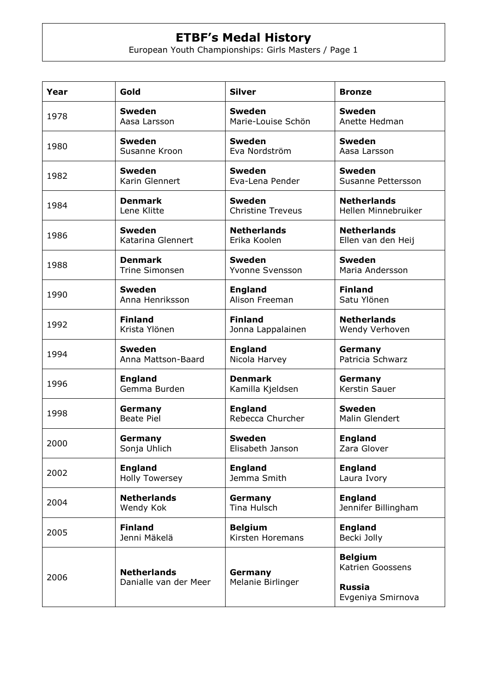| Year | Gold                                        | <b>Silver</b>                | <b>Bronze</b>                                                            |
|------|---------------------------------------------|------------------------------|--------------------------------------------------------------------------|
| 1978 | <b>Sweden</b>                               | <b>Sweden</b>                | <b>Sweden</b>                                                            |
|      | Aasa Larsson                                | Marie-Louise Schön           | Anette Hedman                                                            |
| 1980 | <b>Sweden</b>                               | <b>Sweden</b>                | <b>Sweden</b>                                                            |
|      | Susanne Kroon                               | Eva Nordström                | Aasa Larsson                                                             |
| 1982 | <b>Sweden</b>                               | <b>Sweden</b>                | <b>Sweden</b>                                                            |
|      | Karin Glennert                              | Eva-Lena Pender              | Susanne Pettersson                                                       |
| 1984 | <b>Denmark</b>                              | <b>Sweden</b>                | <b>Netherlands</b>                                                       |
|      | Lene Klitte                                 | <b>Christine Treveus</b>     | Hellen Minnebruiker                                                      |
| 1986 | <b>Sweden</b>                               | <b>Netherlands</b>           | <b>Netherlands</b>                                                       |
|      | Katarina Glennert                           | Erika Koolen                 | Ellen van den Heij                                                       |
| 1988 | <b>Denmark</b>                              | <b>Sweden</b>                | <b>Sweden</b>                                                            |
|      | <b>Trine Simonsen</b>                       | Yvonne Svensson              | Maria Andersson                                                          |
| 1990 | <b>Sweden</b>                               | <b>England</b>               | <b>Finland</b>                                                           |
|      | Anna Henriksson                             | Alison Freeman               | Satu Ylönen                                                              |
| 1992 | <b>Finland</b>                              | <b>Finland</b>               | <b>Netherlands</b>                                                       |
|      | Krista Ylönen                               | Jonna Lappalainen            | Wendy Verhoven                                                           |
| 1994 | <b>Sweden</b>                               | <b>England</b>               | Germany                                                                  |
|      | Anna Mattson-Baard                          | Nicola Harvey                | Patricia Schwarz                                                         |
| 1996 | <b>England</b>                              | <b>Denmark</b>               | Germany                                                                  |
|      | Gemma Burden                                | Kamilla Kjeldsen             | Kerstin Sauer                                                            |
| 1998 | Germany                                     | <b>England</b>               | <b>Sweden</b>                                                            |
|      | <b>Beate Piel</b>                           | Rebecca Churcher             | <b>Malin Glendert</b>                                                    |
| 2000 | Germany                                     | Sweden                       | <b>England</b>                                                           |
|      | Sonja Uhlich                                | Elisabeth Janson             | Zara Glover                                                              |
| 2002 | <b>England</b>                              | <b>England</b>               | <b>England</b>                                                           |
|      | <b>Holly Towersey</b>                       | Jemma Smith                  | Laura Ivory                                                              |
| 2004 | <b>Netherlands</b>                          | Germany                      | <b>England</b>                                                           |
|      | Wendy Kok                                   | <b>Tina Hulsch</b>           | Jennifer Billingham                                                      |
| 2005 | <b>Finland</b>                              | <b>Belgium</b>               | <b>England</b>                                                           |
|      | Jenni Mäkelä                                | Kirsten Horemans             | Becki Jolly                                                              |
| 2006 | <b>Netherlands</b><br>Danialle van der Meer | Germany<br>Melanie Birlinger | <b>Belgium</b><br>Katrien Goossens<br><b>Russia</b><br>Evgeniya Smirnova |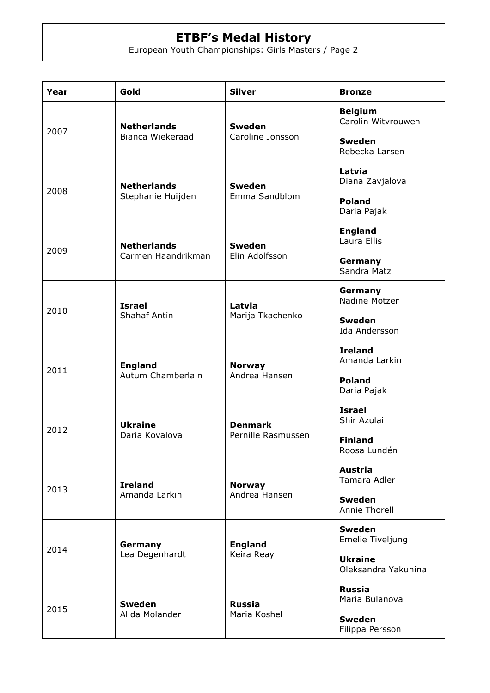| Year | Gold                                     | <b>Silver</b>                        | <b>Bronze</b>                         |
|------|------------------------------------------|--------------------------------------|---------------------------------------|
| 2007 | <b>Netherlands</b><br>Bianca Wiekeraad   | <b>Sweden</b><br>Caroline Jonsson    | <b>Belgium</b><br>Carolin Witvrouwen  |
|      |                                          |                                      | <b>Sweden</b><br>Rebecka Larsen       |
| 2008 | <b>Netherlands</b><br>Stephanie Huijden  | <b>Sweden</b><br>Emma Sandblom       | Latvia<br>Diana Zavjalova             |
|      |                                          |                                      | <b>Poland</b><br>Daria Pajak          |
| 2009 | <b>Netherlands</b><br>Carmen Haandrikman | <b>Sweden</b><br>Elin Adolfsson      | <b>England</b><br>Laura Ellis         |
|      |                                          |                                      | Germany<br>Sandra Matz                |
| 2010 | <b>Israel</b><br><b>Shahaf Antin</b>     | Latvia<br>Marija Tkachenko           | Germany<br>Nadine Motzer              |
|      |                                          |                                      | <b>Sweden</b><br>Ida Andersson        |
| 2011 | <b>England</b><br>Autum Chamberlain      | <b>Norway</b><br>Andrea Hansen       | <b>Ireland</b><br>Amanda Larkin       |
|      |                                          |                                      | <b>Poland</b><br>Daria Pajak          |
| 2012 | <b>Ukraine</b><br>Daria Kovalova         | <b>Denmark</b><br>Pernille Rasmussen | <b>Israel</b><br>Shir Azulai          |
|      |                                          |                                      | <b>Finland</b><br>Roosa Lundén        |
| 2013 | <b>Ireland</b><br>Amanda Larkin          | <b>Norway</b><br>Andrea Hansen       | <b>Austria</b><br>Tamara Adler        |
|      |                                          |                                      | <b>Sweden</b><br><b>Annie Thorell</b> |
| 2014 | Germany<br>Lea Degenhardt                | <b>England</b><br>Keira Reay         | <b>Sweden</b><br>Emelie Tiveljung     |
|      |                                          |                                      | <b>Ukraine</b><br>Oleksandra Yakunina |
| 2015 | <b>Sweden</b><br>Alida Molander          | <b>Russia</b><br>Maria Koshel        | <b>Russia</b><br>Maria Bulanova       |
|      |                                          |                                      | <b>Sweden</b><br>Filippa Persson      |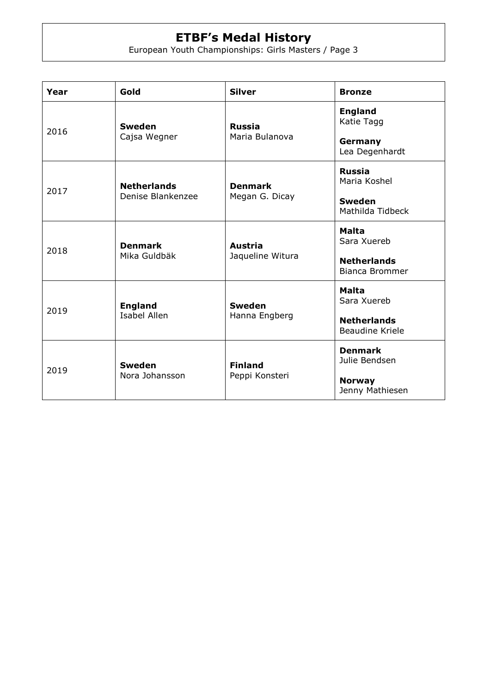| Year | Gold                                    | <b>Silver</b>                      | <b>Bronze</b>                                |
|------|-----------------------------------------|------------------------------------|----------------------------------------------|
| 2016 | <b>Sweden</b><br>Cajsa Wegner           | <b>Russia</b><br>Maria Bulanova    | <b>England</b><br>Katie Tagg                 |
|      |                                         |                                    | Germany<br>Lea Degenhardt                    |
| 2017 | <b>Netherlands</b><br>Denise Blankenzee | <b>Denmark</b><br>Megan G. Dicay   | <b>Russia</b><br>Maria Koshel                |
|      |                                         |                                    | <b>Sweden</b><br>Mathilda Tidbeck            |
| 2018 | <b>Denmark</b><br>Mika Guldbäk          | <b>Austria</b><br>Jaqueline Witura | Malta<br>Sara Xuereb                         |
|      |                                         |                                    | <b>Netherlands</b><br><b>Bianca Brommer</b>  |
| 2019 | <b>England</b><br><b>Isabel Allen</b>   | <b>Sweden</b><br>Hanna Engberg     | Malta<br>Sara Xuereb                         |
|      |                                         |                                    | <b>Netherlands</b><br><b>Beaudine Kriele</b> |
| 2019 | <b>Sweden</b><br>Nora Johansson         | <b>Finland</b><br>Peppi Konsteri   | <b>Denmark</b><br>Julie Bendsen              |
|      |                                         |                                    | <b>Norway</b><br>Jenny Mathiesen             |